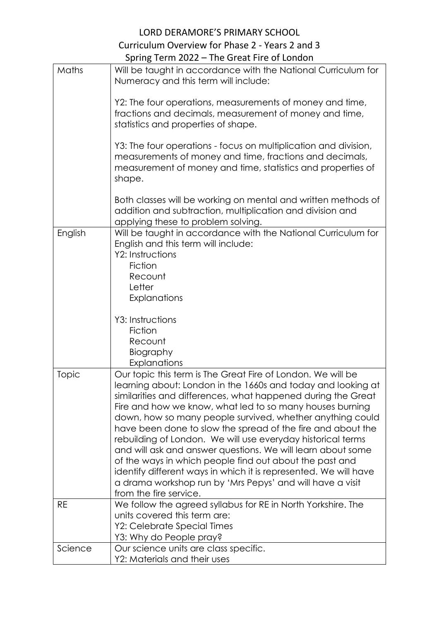## LORD DERAMORE'S PRIMARY SCHOOL Curriculum Overview for Phase 2 - Years 2 and 3 Spring Term 2022 – The Great Fire of London

| Maths   | Will be taught in accordance with the National Curriculum for<br>Numeracy and this term will include:                                                                                                                                                                                                                                                                                                                                                                                                                                                                                                                                                                                                                                   |
|---------|-----------------------------------------------------------------------------------------------------------------------------------------------------------------------------------------------------------------------------------------------------------------------------------------------------------------------------------------------------------------------------------------------------------------------------------------------------------------------------------------------------------------------------------------------------------------------------------------------------------------------------------------------------------------------------------------------------------------------------------------|
|         | Y2: The four operations, measurements of money and time,<br>fractions and decimals, measurement of money and time,<br>statistics and properties of shape.                                                                                                                                                                                                                                                                                                                                                                                                                                                                                                                                                                               |
|         | Y3: The four operations - focus on multiplication and division,<br>measurements of money and time, fractions and decimals,<br>measurement of money and time, statistics and properties of<br>shape.                                                                                                                                                                                                                                                                                                                                                                                                                                                                                                                                     |
|         | Both classes will be working on mental and written methods of<br>addition and subtraction, multiplication and division and<br>applying these to problem solving.                                                                                                                                                                                                                                                                                                                                                                                                                                                                                                                                                                        |
| English | Will be taught in accordance with the National Curriculum for<br>English and this term will include:<br>Y2: Instructions<br>Fiction<br>Recount<br>Letter<br>Explanations                                                                                                                                                                                                                                                                                                                                                                                                                                                                                                                                                                |
|         | Y3: Instructions<br>Fiction<br>Recount<br>Biography<br>Explanations                                                                                                                                                                                                                                                                                                                                                                                                                                                                                                                                                                                                                                                                     |
| Topic   | Our topic this term is The Great Fire of London. We will be<br>learning about: London in the 1660s and today and looking at<br>similarities and differences, what happened during the Great<br>Fire and how we know, what led to so many houses burning<br>down, how so many people survived, whether anything could<br>have been done to slow the spread of the fire and about the<br>rebuilding of London. We will use everyday historical terms<br>and will ask and answer questions. We will learn about some<br>of the ways in which people find out about the past and<br>identify different ways in which it is represented. We will have<br>a drama workshop run by 'Mrs Pepys' and will have a visit<br>from the fire service. |
| RE      | We follow the agreed syllabus for RE in North Yorkshire. The<br>units covered this term are:<br>Y2: Celebrate Special Times<br>Y3: Why do People pray?                                                                                                                                                                                                                                                                                                                                                                                                                                                                                                                                                                                  |
| Science | Our science units are class specific.<br>Y2: Materials and their uses                                                                                                                                                                                                                                                                                                                                                                                                                                                                                                                                                                                                                                                                   |